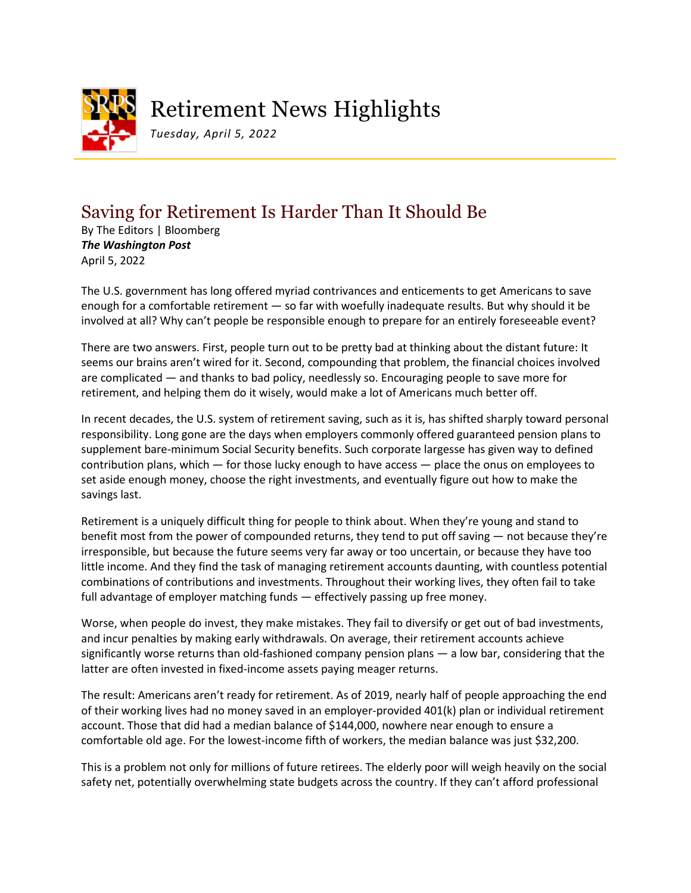

## Retirement News Highlights

*Tuesday, April 5, 2022*

## Saving for Retirement Is Harder Than It Should Be

By The Editors | Bloomberg *The Washington Post* April 5, 2022

The U.S. government has long offered myriad contrivances and enticements to get Americans to save enough for a comfortable retirement — so far with woefully inadequate results. But why should it be involved at all? Why can't people be responsible enough to prepare for an entirely foreseeable event?

There are two answers. First, people turn out to be pretty bad at thinking about the distant future: It seems our brains aren't wired for it. Second, compounding that problem, the financial choices involved are complicated — and thanks to bad policy, needlessly so. Encouraging people to save more for retirement, and helping them do it wisely, would make a lot of Americans much better off.

In recent decades, the U.S. system of retirement saving, such as it is, has shifted sharply toward personal responsibility. Long gone are the days when employers commonly offered guaranteed pension plans to supplement bare-minimum Social Security benefits. Such corporate largesse has given way to defined contribution plans, which — for those lucky enough to have access — place the onus on employees to set aside enough money, choose the right investments, and eventually figure out how to make the savings last.

Retirement is a uniquely difficult thing for people to think about. When they're young and stand to benefit most from the power of compounded returns, they tend to put off saving — not because they're irresponsible, but because the future seems very far away or too uncertain, or because they have too little income. And they find the task of managing retirement accounts daunting, with countless potential combinations of contributions and investments. Throughout their working lives, they often fail to take full advantage of employer matching funds — effectively passing up free money.

Worse, when people do invest, they make mistakes. They fail to diversify or get out of bad investments, and incur penalties by making early withdrawals. On average, their retirement accounts achieve significantly worse returns than old-fashioned company pension plans — a low bar, considering that the latter are often invested in fixed-income assets paying meager returns.

The result: Americans aren't ready for retirement. As of 2019, nearly half of people approaching the end of their working lives had no money saved in an employer-provided 401(k) plan or individual retirement account. Those that did had a median balance of \$144,000, nowhere near enough to ensure a comfortable old age. For the lowest-income fifth of workers, the median balance was just \$32,200.

This is a problem not only for millions of future retirees. The elderly poor will weigh heavily on the social safety net, potentially overwhelming state budgets across the country. If they can't afford professional